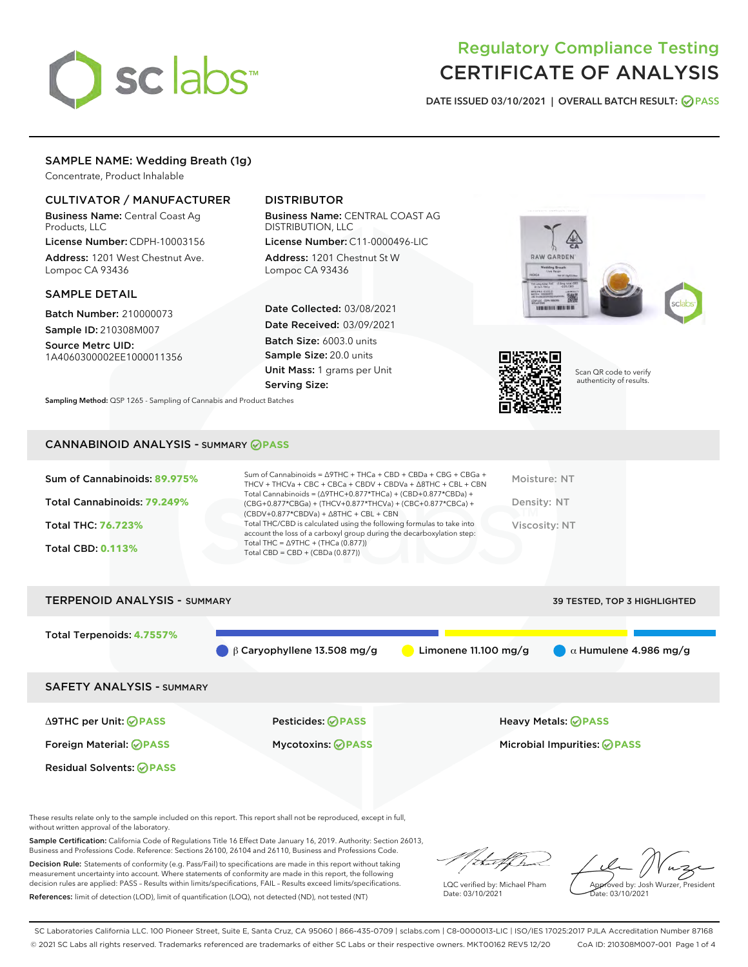

# Regulatory Compliance Testing CERTIFICATE OF ANALYSIS

DATE ISSUED 03/10/2021 | OVERALL BATCH RESULT: @ PASS

# SAMPLE NAME: Wedding Breath (1g)

Concentrate, Product Inhalable

# CULTIVATOR / MANUFACTURER

Business Name: Central Coast Ag Products, LLC

License Number: CDPH-10003156 Address: 1201 West Chestnut Ave. Lompoc CA 93436

#### SAMPLE DETAIL

Batch Number: 210000073 Sample ID: 210308M007

Source Metrc UID: 1A4060300002EE1000011356

# DISTRIBUTOR

Business Name: CENTRAL COAST AG DISTRIBUTION, LLC

License Number: C11-0000496-LIC Address: 1201 Chestnut St W Lompoc CA 93436

Date Collected: 03/08/2021 Date Received: 03/09/2021 Batch Size: 6003.0 units Sample Size: 20.0 units Unit Mass: 1 grams per Unit Serving Size:

Sampling Method: QSP 1265 - Sampling of Cannabis and Product Batches





Scan QR code to verify authenticity of results.

# CANNABINOID ANALYSIS - SUMMARY **PASS**

| Sum of Cannabinoids: 89.975%<br>Total Cannabinoids: 79.249%<br>Total THC: 76.723%<br><b>Total CBD: 0.113%</b> | Sum of Cannabinoids = $\triangle$ 9THC + THCa + CBD + CBDa + CBG + CBGa +<br>THCV + THCVa + CBC + CBCa + CBDV + CBDVa + $\land$ 8THC + CBL + CBN<br>Total Cannabinoids = $(\Delta$ 9THC+0.877*THCa) + (CBD+0.877*CBDa) +<br>(CBG+0.877*CBGa) + (THCV+0.877*THCVa) + (CBC+0.877*CBCa) +<br>$(CBDV+0.877*CBDVa) + \Delta 8THC + CBL + CBN$<br>Total THC/CBD is calculated using the following formulas to take into<br>account the loss of a carboxyl group during the decarboxylation step:<br>Total THC = $\triangle$ 9THC + (THCa (0.877))<br>Total CBD = $CBD + (CBDa (0.877))$ | Moisture: NT<br>Density: NT<br>Viscosity: NT |
|---------------------------------------------------------------------------------------------------------------|-----------------------------------------------------------------------------------------------------------------------------------------------------------------------------------------------------------------------------------------------------------------------------------------------------------------------------------------------------------------------------------------------------------------------------------------------------------------------------------------------------------------------------------------------------------------------------------|----------------------------------------------|
| <b>TERPENOID ANALYSIS - SUMMARY</b>                                                                           |                                                                                                                                                                                                                                                                                                                                                                                                                                                                                                                                                                                   | <b>39 TESTED, TOP 3 HIGHLIGHTED</b>          |



These results relate only to the sample included on this report. This report shall not be reproduced, except in full, without written approval of the laboratory.

Sample Certification: California Code of Regulations Title 16 Effect Date January 16, 2019. Authority: Section 26013, Business and Professions Code. Reference: Sections 26100, 26104 and 26110, Business and Professions Code.

Decision Rule: Statements of conformity (e.g. Pass/Fail) to specifications are made in this report without taking measurement uncertainty into account. Where statements of conformity are made in this report, the following decision rules are applied: PASS – Results within limits/specifications, FAIL – Results exceed limits/specifications. References: limit of detection (LOD), limit of quantification (LOQ), not detected (ND), not tested (NT)

that for

LQC verified by: Michael Pham Date: 03/10/2021

Approved by: Josh Wurzer, President ate: 03/10/2021

SC Laboratories California LLC. 100 Pioneer Street, Suite E, Santa Cruz, CA 95060 | 866-435-0709 | sclabs.com | C8-0000013-LIC | ISO/IES 17025:2017 PJLA Accreditation Number 87168 © 2021 SC Labs all rights reserved. Trademarks referenced are trademarks of either SC Labs or their respective owners. MKT00162 REV5 12/20 CoA ID: 210308M007-001 Page 1 of 4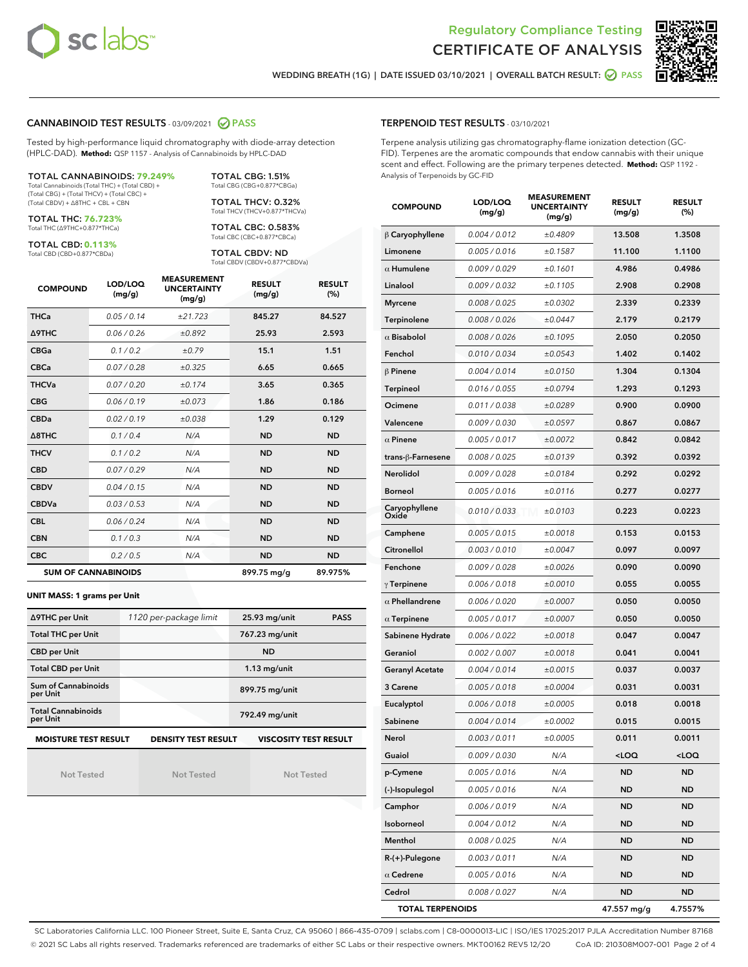



WEDDING BREATH (1G) | DATE ISSUED 03/10/2021 | OVERALL BATCH RESULT:  $\bigcirc$  PASS

# CANNABINOID TEST RESULTS - 03/09/2021 2 PASS

Tested by high-performance liquid chromatography with diode-array detection (HPLC-DAD). **Method:** QSP 1157 - Analysis of Cannabinoids by HPLC-DAD

TOTAL CANNABINOIDS: **79.249%** Total Cannabinoids (Total THC) + (Total CBD) + (Total CBG) + (Total THCV) + (Total CBC) +

(Total CBDV) + ∆8THC + CBL + CBN TOTAL THC: **76.723%**

Total THC (∆9THC+0.877\*THCa)

TOTAL CBD: **0.113%** Total CBD (CBD+0.877\*CBDa)

TOTAL CBC: 0.583% Total CBC (CBC+0.877\*CBCa)

TOTAL CBDV: ND Total CBDV (CBDV+0.877\*CBDVa)

TOTAL CBG: 1.51% Total CBG (CBG+0.877\*CBGa) TOTAL THCV: 0.32% Total THCV (THCV+0.877\*THCVa)

| <b>COMPOUND</b> | LOD/LOQ<br>(mg/g)          | <b>MEASUREMENT</b><br><b>UNCERTAINTY</b><br>(mg/g) | <b>RESULT</b><br>(mg/g) | <b>RESULT</b><br>(%) |
|-----------------|----------------------------|----------------------------------------------------|-------------------------|----------------------|
| <b>THCa</b>     | 0.05 / 0.14                | ±21.723                                            | 845.27                  | 84.527               |
| <b>A9THC</b>    | 0.06/0.26                  | ±0.892                                             | 25.93                   | 2.593                |
| <b>CBGa</b>     | 0.1 / 0.2                  | ±0.79                                              | 15.1                    | 1.51                 |
| <b>CBCa</b>     | 0.07 / 0.28                | ±0.325                                             | 6.65                    | 0.665                |
| <b>THCVa</b>    | 0.07/0.20                  | ±0.174                                             | 3.65                    | 0.365                |
| <b>CBG</b>      | 0.06/0.19                  | ±0.073                                             | 1.86                    | 0.186                |
| <b>CBDa</b>     | 0.02/0.19                  | ±0.038                                             | 1.29                    | 0.129                |
| A8THC           | 0.1/0.4                    | N/A                                                | <b>ND</b>               | <b>ND</b>            |
| <b>THCV</b>     | 0.1 / 0.2                  | N/A                                                | <b>ND</b>               | <b>ND</b>            |
| <b>CBD</b>      | 0.07/0.29                  | N/A                                                | <b>ND</b>               | <b>ND</b>            |
| <b>CBDV</b>     | 0.04 / 0.15                | N/A                                                | <b>ND</b>               | <b>ND</b>            |
| <b>CBDVa</b>    | 0.03/0.53                  | N/A                                                | <b>ND</b>               | <b>ND</b>            |
| <b>CBL</b>      | 0.06 / 0.24                | N/A                                                | <b>ND</b>               | <b>ND</b>            |
| <b>CBN</b>      | 0.1/0.3                    | N/A                                                | <b>ND</b>               | <b>ND</b>            |
| <b>CBC</b>      | 0.2 / 0.5                  | N/A                                                | <b>ND</b>               | <b>ND</b>            |
|                 | <b>SUM OF CANNABINOIDS</b> |                                                    | 899.75 mg/g             | 89.975%              |

#### **UNIT MASS: 1 grams per Unit**

| ∆9THC per Unit                                                                            | 1120 per-package limit | 25.93 mg/unit<br><b>PASS</b> |  |  |  |
|-------------------------------------------------------------------------------------------|------------------------|------------------------------|--|--|--|
| <b>Total THC per Unit</b>                                                                 |                        | 767.23 mg/unit               |  |  |  |
| <b>CBD per Unit</b>                                                                       |                        | <b>ND</b>                    |  |  |  |
| <b>Total CBD per Unit</b>                                                                 |                        | $1.13$ mg/unit               |  |  |  |
| Sum of Cannabinoids<br>per Unit                                                           |                        | 899.75 mg/unit               |  |  |  |
| <b>Total Cannabinoids</b><br>per Unit                                                     |                        | 792.49 mg/unit               |  |  |  |
| <b>MOISTURE TEST RESULT</b><br><b>VISCOSITY TEST RESULT</b><br><b>DENSITY TEST RESULT</b> |                        |                              |  |  |  |

Not Tested

Not Tested

Not Tested

#### TERPENOID TEST RESULTS - 03/10/2021

Terpene analysis utilizing gas chromatography-flame ionization detection (GC-FID). Terpenes are the aromatic compounds that endow cannabis with their unique scent and effect. Following are the primary terpenes detected. **Method:** QSP 1192 - Analysis of Terpenoids by GC-FID

| <b>COMPOUND</b>         | LOD/LOQ<br>(mg/g) | <b>MEASUREMENT</b><br><b>UNCERTAINTY</b><br>(mg/g) | <b>RESULT</b><br>(mg/g) | <b>RESULT</b><br>$(\%)$ |
|-------------------------|-------------------|----------------------------------------------------|-------------------------|-------------------------|
| $\beta$ Caryophyllene   | 0.004 / 0.012     | ±0.4809                                            | 13.508                  | 1.3508                  |
| Limonene                | 0.005 / 0.016     | ±0.1587                                            | 11.100                  | 1.1100                  |
| $\alpha$ Humulene       | 0.009/0.029       | ±0.1601                                            | 4.986                   | 0.4986                  |
| Linalool                | 0.009 / 0.032     | ±0.1105                                            | 2.908                   | 0.2908                  |
| <b>Myrcene</b>          | 0.008 / 0.025     | ±0.0302                                            | 2.339                   | 0.2339                  |
| Terpinolene             | 0.008 / 0.026     | ±0.0447                                            | 2.179                   | 0.2179                  |
| $\alpha$ Bisabolol      | 0.008 / 0.026     | ±0.1095                                            | 2.050                   | 0.2050                  |
| Fenchol                 | 0.010 / 0.034     | ±0.0543                                            | 1.402                   | 0.1402                  |
| β Pinene                | 0.004 / 0.014     | ±0.0150                                            | 1.304                   | 0.1304                  |
| <b>Terpineol</b>        | 0.016 / 0.055     | ±0.0794                                            | 1.293                   | 0.1293                  |
| Ocimene                 | 0.011 / 0.038     | ±0.0289                                            | 0.900                   | 0.0900                  |
| Valencene               | 0.009 / 0.030     | ±0.0597                                            | 0.867                   | 0.0867                  |
| $\alpha$ Pinene         | 0.005 / 0.017     | ±0.0072                                            | 0.842                   | 0.0842                  |
| trans-β-Farnesene       | 0.008 / 0.025     | ±0.0139                                            | 0.392                   | 0.0392                  |
| Nerolidol               | 0.009 / 0.028     | ±0.0184                                            | 0.292                   | 0.0292                  |
| <b>Borneol</b>          | 0.005 / 0.016     | ±0.0116                                            | 0.277                   | 0.0277                  |
| Caryophyllene<br>Oxide  | 0.010 / 0.033     | ±0.0103                                            | 0.223                   | 0.0223                  |
| Camphene                | 0.005 / 0.015     | ±0.0018                                            | 0.153                   | 0.0153                  |
| Citronellol             | 0.003 / 0.010     | ±0.0047                                            | 0.097                   | 0.0097                  |
| Fenchone                | 0.009 / 0.028     | ±0.0026                                            | 0.090                   | 0.0090                  |
| $\gamma$ Terpinene      | 0.006 / 0.018     | ±0.0010                                            | 0.055                   | 0.0055                  |
| $\alpha$ Phellandrene   | 0.006 / 0.020     | ±0.0007                                            | 0.050                   | 0.0050                  |
| $\alpha$ Terpinene      | 0.005 / 0.017     | ±0.0007                                            | 0.050                   | 0.0050                  |
| Sabinene Hydrate        | 0.006 / 0.022     | ±0.0018                                            | 0.047                   | 0.0047                  |
| Geraniol                | 0.002 / 0.007     | ±0.0018                                            | 0.041                   | 0.0041                  |
| <b>Geranyl Acetate</b>  | 0.004 / 0.014     | ±0.0015                                            | 0.037                   | 0.0037                  |
| 3 Carene                | 0.005 / 0.018     | ±0.0004                                            | 0.031                   | 0.0031                  |
| Eucalyptol              | 0.006 / 0.018     | ±0.0005                                            | 0.018                   | 0.0018                  |
| Sabinene                | 0.004 / 0.014     | ±0.0002                                            | 0.015                   | 0.0015                  |
| Nerol                   | 0.003 / 0.011     | ±0.0005                                            | 0.011                   | 0.0011                  |
| Guaiol                  | 0.009 / 0.030     | N/A                                                | 100                     | <loq< th=""></loq<>     |
| p-Cymene                | 0.005 / 0.016     | N/A                                                | <b>ND</b>               | ND                      |
| (-)-Isopulegol          | 0.005 / 0.016     | N/A                                                | ND                      | ND                      |
| Camphor                 | 0.006 / 0.019     | N/A                                                | ND                      | ND                      |
| Isoborneol              | 0.004 / 0.012     | N/A                                                | ND                      | ND                      |
| Menthol                 | 0.008 / 0.025     | N/A                                                | ND                      | ND                      |
| R-(+)-Pulegone          | 0.003 / 0.011     | N/A                                                | ND                      | ND                      |
| $\alpha$ Cedrene        | 0.005 / 0.016     | N/A                                                | ND                      | ND                      |
| Cedrol                  | 0.008 / 0.027     | N/A                                                | ND                      | ND                      |
| <b>TOTAL TERPENOIDS</b> |                   |                                                    | 47.557 mg/g             | 4.7557%                 |

SC Laboratories California LLC. 100 Pioneer Street, Suite E, Santa Cruz, CA 95060 | 866-435-0709 | sclabs.com | C8-0000013-LIC | ISO/IES 17025:2017 PJLA Accreditation Number 87168 © 2021 SC Labs all rights reserved. Trademarks referenced are trademarks of either SC Labs or their respective owners. MKT00162 REV5 12/20 CoA ID: 210308M007-001 Page 2 of 4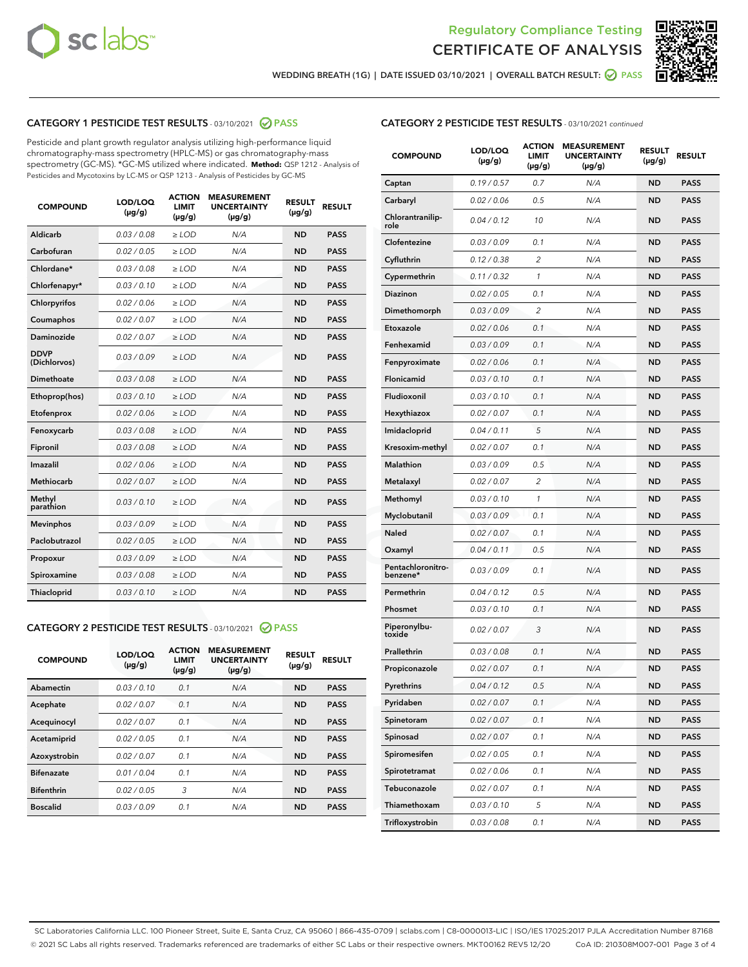



WEDDING BREATH (1G) | DATE ISSUED 03/10/2021 | OVERALL BATCH RESULT:  $\bigcirc$  PASS

# CATEGORY 1 PESTICIDE TEST RESULTS - 03/10/2021 2 PASS

Pesticide and plant growth regulator analysis utilizing high-performance liquid chromatography-mass spectrometry (HPLC-MS) or gas chromatography-mass spectrometry (GC-MS). \*GC-MS utilized where indicated. **Method:** QSP 1212 - Analysis of Pesticides and Mycotoxins by LC-MS or QSP 1213 - Analysis of Pesticides by GC-MS

| <b>COMPOUND</b>             | LOD/LOQ<br>$(\mu g/g)$ | <b>ACTION</b><br><b>LIMIT</b><br>$(\mu g/g)$ | <b>MEASUREMENT</b><br><b>UNCERTAINTY</b><br>$(\mu g/g)$ | <b>RESULT</b><br>$(\mu g/g)$ | <b>RESULT</b> |
|-----------------------------|------------------------|----------------------------------------------|---------------------------------------------------------|------------------------------|---------------|
| Aldicarb                    | 0.03 / 0.08            | $\ge$ LOD                                    | N/A                                                     | <b>ND</b>                    | <b>PASS</b>   |
| Carbofuran                  | 0.02/0.05              | $>$ LOD                                      | N/A                                                     | <b>ND</b>                    | <b>PASS</b>   |
| Chlordane*                  | 0.03 / 0.08            | $\geq$ LOD                                   | N/A                                                     | <b>ND</b>                    | <b>PASS</b>   |
| Chlorfenapyr*               | 0.03/0.10              | $\geq$ LOD                                   | N/A                                                     | <b>ND</b>                    | <b>PASS</b>   |
| Chlorpyrifos                | 0.02 / 0.06            | $\ge$ LOD                                    | N/A                                                     | <b>ND</b>                    | <b>PASS</b>   |
| Coumaphos                   | 0.02 / 0.07            | $\ge$ LOD                                    | N/A                                                     | <b>ND</b>                    | <b>PASS</b>   |
| <b>Daminozide</b>           | 0.02 / 0.07            | $\ge$ LOD                                    | N/A                                                     | <b>ND</b>                    | <b>PASS</b>   |
| <b>DDVP</b><br>(Dichlorvos) | 0.03/0.09              | $\ge$ LOD                                    | N/A                                                     | <b>ND</b>                    | <b>PASS</b>   |
| <b>Dimethoate</b>           | 0.03 / 0.08            | $\ge$ LOD                                    | N/A                                                     | <b>ND</b>                    | <b>PASS</b>   |
| Ethoprop(hos)               | 0.03/0.10              | $\ge$ LOD                                    | N/A                                                     | <b>ND</b>                    | <b>PASS</b>   |
| Etofenprox                  | 0.02 / 0.06            | $\ge$ LOD                                    | N/A                                                     | <b>ND</b>                    | <b>PASS</b>   |
| Fenoxycarb                  | 0.03 / 0.08            | $\ge$ LOD                                    | N/A                                                     | <b>ND</b>                    | <b>PASS</b>   |
| Fipronil                    | 0.03/0.08              | $\ge$ LOD                                    | N/A                                                     | <b>ND</b>                    | <b>PASS</b>   |
| Imazalil                    | 0.02 / 0.06            | $\ge$ LOD                                    | N/A                                                     | <b>ND</b>                    | <b>PASS</b>   |
| Methiocarb                  | 0.02 / 0.07            | $\ge$ LOD                                    | N/A                                                     | <b>ND</b>                    | <b>PASS</b>   |
| Methyl<br>parathion         | 0.03/0.10              | $\ge$ LOD                                    | N/A                                                     | <b>ND</b>                    | <b>PASS</b>   |
| <b>Mevinphos</b>            | 0.03/0.09              | $>$ LOD                                      | N/A                                                     | <b>ND</b>                    | <b>PASS</b>   |
| Paclobutrazol               | 0.02 / 0.05            | $\ge$ LOD                                    | N/A                                                     | <b>ND</b>                    | <b>PASS</b>   |
| Propoxur                    | 0.03/0.09              | $>$ LOD                                      | N/A                                                     | <b>ND</b>                    | <b>PASS</b>   |
| Spiroxamine                 | 0.03 / 0.08            | $\ge$ LOD                                    | N/A                                                     | <b>ND</b>                    | <b>PASS</b>   |
| Thiacloprid                 | 0.03/0.10              | $\ge$ LOD                                    | N/A                                                     | <b>ND</b>                    | <b>PASS</b>   |

## CATEGORY 2 PESTICIDE TEST RESULTS - 03/10/2021 @ PASS

| <b>COMPOUND</b>   | LOD/LOQ<br>$(\mu g/g)$ | <b>ACTION</b><br><b>LIMIT</b><br>$(\mu g/g)$ | <b>MEASUREMENT</b><br><b>UNCERTAINTY</b><br>$(\mu g/g)$ | <b>RESULT</b><br>$(\mu g/g)$ | <b>RESULT</b> |
|-------------------|------------------------|----------------------------------------------|---------------------------------------------------------|------------------------------|---------------|
| Abamectin         | 0.03/0.10              | 0.1                                          | N/A                                                     | <b>ND</b>                    | <b>PASS</b>   |
| Acephate          | 0.02/0.07              | 0.1                                          | N/A                                                     | <b>ND</b>                    | <b>PASS</b>   |
| Acequinocyl       | 0.02/0.07              | 0.1                                          | N/A                                                     | <b>ND</b>                    | <b>PASS</b>   |
| Acetamiprid       | 0.02/0.05              | 0.1                                          | N/A                                                     | <b>ND</b>                    | <b>PASS</b>   |
| Azoxystrobin      | 0.02/0.07              | 0.1                                          | N/A                                                     | <b>ND</b>                    | <b>PASS</b>   |
| <b>Bifenazate</b> | 0.01/0.04              | 0.1                                          | N/A                                                     | <b>ND</b>                    | <b>PASS</b>   |
| <b>Bifenthrin</b> | 0.02/0.05              | 3                                            | N/A                                                     | <b>ND</b>                    | <b>PASS</b>   |
| <b>Boscalid</b>   | 0.03/0.09              | 0.1                                          | N/A                                                     | <b>ND</b>                    | <b>PASS</b>   |

| <b>CATEGORY 2 PESTICIDE TEST RESULTS</b> - 03/10/2021 continued |
|-----------------------------------------------------------------|
|-----------------------------------------------------------------|

| <b>COMPOUND</b>               | LOD/LOQ<br>$(\mu g/g)$ | <b>ACTION</b><br>LIMIT<br>$(\mu g/g)$ | <b>MEASUREMENT</b><br><b>UNCERTAINTY</b><br>(µg/g) | <b>RESULT</b><br>(µg/g) | <b>RESULT</b> |
|-------------------------------|------------------------|---------------------------------------|----------------------------------------------------|-------------------------|---------------|
| Captan                        | 0.19/0.57              | 0.7                                   | N/A                                                | <b>ND</b>               | <b>PASS</b>   |
| Carbaryl                      | 0.02 / 0.06            | 0.5                                   | N/A                                                | ND                      | <b>PASS</b>   |
| Chlorantranilip-<br>role      | 0.04/0.12              | 10                                    | N/A                                                | ND                      | <b>PASS</b>   |
| Clofentezine                  | 0.03 / 0.09            | 0.1                                   | N/A                                                | ND                      | <b>PASS</b>   |
| Cyfluthrin                    | 0.12 / 0.38            | 2                                     | N/A                                                | ND                      | <b>PASS</b>   |
| Cypermethrin                  | 0.11 / 0.32            | 1                                     | N/A                                                | ND                      | <b>PASS</b>   |
| <b>Diazinon</b>               | 0.02 / 0.05            | 0.1                                   | N/A                                                | ND                      | <b>PASS</b>   |
| Dimethomorph                  | 0.03 / 0.09            | 2                                     | N/A                                                | ND                      | <b>PASS</b>   |
| Etoxazole                     | 0.02 / 0.06            | 0.1                                   | N/A                                                | ND                      | <b>PASS</b>   |
| Fenhexamid                    | 0.03 / 0.09            | 0.1                                   | N/A                                                | ND                      | <b>PASS</b>   |
| Fenpyroximate                 | 0.02 / 0.06            | 0.1                                   | N/A                                                | ND                      | <b>PASS</b>   |
| <b>Flonicamid</b>             | 0.03 / 0.10            | 0.1                                   | N/A                                                | ND                      | <b>PASS</b>   |
| Fludioxonil                   | 0.03/0.10              | 0.1                                   | N/A                                                | ND                      | <b>PASS</b>   |
| Hexythiazox                   | 0.02 / 0.07            | 0.1                                   | N/A                                                | ND                      | <b>PASS</b>   |
| Imidacloprid                  | 0.04/0.11              | 5                                     | N/A                                                | ND                      | <b>PASS</b>   |
| Kresoxim-methyl               | 0.02 / 0.07            | 0.1                                   | N/A                                                | ND                      | <b>PASS</b>   |
| <b>Malathion</b>              | 0.03 / 0.09            | 0.5                                   | N/A                                                | ND                      | <b>PASS</b>   |
| Metalaxyl                     | 0.02 / 0.07            | 2                                     | N/A                                                | ND                      | <b>PASS</b>   |
| Methomyl                      | 0.03 / 0.10            | 1                                     | N/A                                                | ND                      | <b>PASS</b>   |
| Myclobutanil                  | 0.03 / 0.09            | 0.1                                   | N/A                                                | ND                      | <b>PASS</b>   |
| <b>Naled</b>                  | 0.02 / 0.07            | 0.1                                   | N/A                                                | ND                      | <b>PASS</b>   |
| Oxamyl                        | 0.04 / 0.11            | 0.5                                   | N/A                                                | ND                      | <b>PASS</b>   |
| Pentachloronitro-<br>benzene* | 0.03 / 0.09            | 0.1                                   | N/A                                                | ND                      | <b>PASS</b>   |
| Permethrin                    | 0.04 / 0.12            | 0.5                                   | N/A                                                | ND                      | <b>PASS</b>   |
| Phosmet                       | 0.03 / 0.10            | 0.1                                   | N/A                                                | ND                      | <b>PASS</b>   |
| Piperonylbu-<br>toxide        | 0.02 / 0.07            | 3                                     | N/A                                                | ND                      | <b>PASS</b>   |
| Prallethrin                   | 0.03 / 0.08            | 0.1                                   | N/A                                                | ND                      | <b>PASS</b>   |
| Propiconazole                 | 0.02 / 0.07            | 0.1                                   | N/A                                                | ND                      | <b>PASS</b>   |
| Pyrethrins                    | 0.04 / 0.12            | 0.5                                   | N/A                                                | ND                      | PASS          |
| Pyridaben                     | 0.02 / 0.07            | 0.1                                   | N/A                                                | ND                      | <b>PASS</b>   |
| Spinetoram                    | 0.02 / 0.07            | 0.1                                   | N/A                                                | <b>ND</b>               | <b>PASS</b>   |
| Spinosad                      | 0.02 / 0.07            | 0.1                                   | N/A                                                | ND                      | <b>PASS</b>   |
| Spiromesifen                  | 0.02 / 0.05            | 0.1                                   | N/A                                                | ND                      | <b>PASS</b>   |
| Spirotetramat                 | 0.02 / 0.06            | 0.1                                   | N/A                                                | ND                      | <b>PASS</b>   |
| Tebuconazole                  | 0.02 / 0.07            | 0.1                                   | N/A                                                | ND                      | <b>PASS</b>   |
| Thiamethoxam                  | 0.03 / 0.10            | 5                                     | N/A                                                | ND                      | <b>PASS</b>   |
| Trifloxystrobin               | 0.03 / 0.08            | 0.1                                   | N/A                                                | ND                      | <b>PASS</b>   |

SC Laboratories California LLC. 100 Pioneer Street, Suite E, Santa Cruz, CA 95060 | 866-435-0709 | sclabs.com | C8-0000013-LIC | ISO/IES 17025:2017 PJLA Accreditation Number 87168 © 2021 SC Labs all rights reserved. Trademarks referenced are trademarks of either SC Labs or their respective owners. MKT00162 REV5 12/20 CoA ID: 210308M007-001 Page 3 of 4